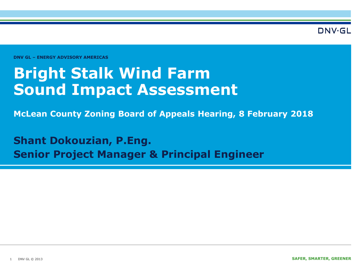DNV·GL

**DNV GL – ENERGY ADVISORY AMERICAS** 

## **Bright Stalk Wind Farm Sound Impact Assessment**

**McLean County Zoning Board of Appeals Hearing, 8 February 2018**

**Shant Dokouzian, P.Eng. Senior Project Manager & Principal Engineer**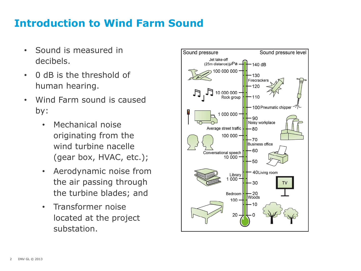## **Introduction to Wind Farm Sound**

- Sound is measured in decibels.
- 0 dB is the threshold of human hearing.
- Wind Farm sound is caused by:
	- Mechanical noise originating from the wind turbine nacelle (gear box, HVAC, etc.);
	- Aerodynamic noise from the air passing through the turbine blades; and
	- Transformer noise located at the project substation.

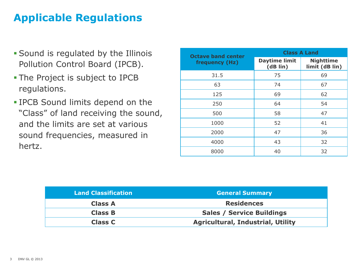## **Applicable Regulations**

- Sound is regulated by the Illinois Pollution Control Board (IPCB).
- The Project is subject to IPCB regulations.
- IPCB Sound limits depend on the "Class" of land receiving the sound, and the limits are set at various sound frequencies, measured in hertz.

| <b>Octave band center</b> | <b>Class A Land</b>              |                                    |  |  |  |
|---------------------------|----------------------------------|------------------------------------|--|--|--|
| frequency (Hz)            | <b>Daytime limit</b><br>(dB lin) | <b>Nighttime</b><br>limit (dB lin) |  |  |  |
| 31.5                      | 75                               | 69                                 |  |  |  |
| 63                        | 74                               | 67                                 |  |  |  |
| 125                       | 69                               | 62                                 |  |  |  |
| 250                       | 64                               | 54                                 |  |  |  |
| 500                       | 58                               | 47                                 |  |  |  |
| 1000                      | 52                               | 41                                 |  |  |  |
| 2000                      | 47                               | 36                                 |  |  |  |
| 4000                      | 43                               | 32                                 |  |  |  |
| 8000                      | 40                               | 32                                 |  |  |  |

| <b>Land Classification</b> | <b>General Summary</b>                   |  |  |
|----------------------------|------------------------------------------|--|--|
| <b>Class A</b>             | <b>Residences</b>                        |  |  |
| <b>Class B</b>             | <b>Sales / Service Buildings</b>         |  |  |
| <b>Class C</b>             | <b>Agricultural, Industrial, Utility</b> |  |  |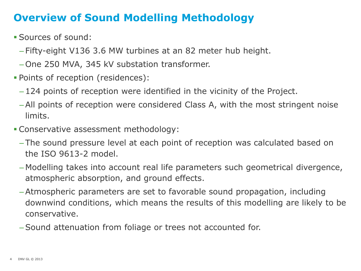## **Overview of Sound Modelling Methodology**

- Sources of sound:
	- Fifty-eight V136 3.6 MW turbines at an 82 meter hub height.
	- One 250 MVA, 345 kV substation transformer.
- Points of reception (residences):
	- 124 points of reception were identified in the vicinity of the Project.
	- All points of reception were considered Class A, with the most stringent noise limits.
- Conservative assessment methodology:
	- The sound pressure level at each point of reception was calculated based on the ISO 9613-2 model.
	- Modelling takes into account real life parameters such geometrical divergence, atmospheric absorption, and ground effects.
	- Atmospheric parameters are set to favorable sound propagation, including downwind conditions, which means the results of this modelling are likely to be conservative.
	- Sound attenuation from foliage or trees not accounted for.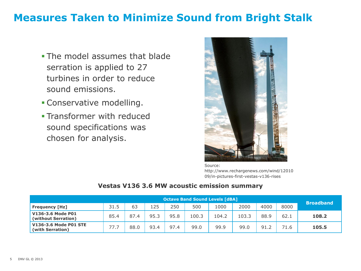### **Measures Taken to Minimize Sound from Bright Stalk**

- **The model assumes that blade** serration is applied to 27 turbines in order to reduce sound emissions.
- **Conservative modelling.**
- **Transformer with reduced** sound specifications was chosen for analysis.



Source: http://www.rechargenews.com/wind/12010 09/in-pictures-first-vestas-v136-rises

#### **Vestas V136 3.6 MW acoustic emission summary**

|                                                  | <b>Octave Band Sound Levels [dBA]</b> |      |      |      |       |       |       |      | <b>Broadband</b> |       |
|--------------------------------------------------|---------------------------------------|------|------|------|-------|-------|-------|------|------------------|-------|
| <b>Frequency [Hz]</b>                            | 31.5                                  | 63   | 125  | 250  | 500   | 1000  | 2000  | 4000 | 8000             |       |
| V136-3.6 Mode P01<br>(without Serration)         | 85.4                                  | 87.4 | 95.3 | 95.8 | 100.3 | 104.2 | 103.3 | 88.9 | 62.1             | 108.2 |
| <b>V136-3.6 Mode P01 STE</b><br>(with Serration) | 77.J                                  | 88.0 | 93.4 | 97.4 | 99.0  | 99.9  | 99.0  | 91.2 | 71.6             | 105.5 |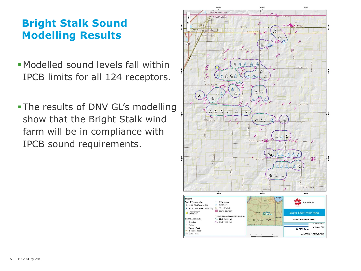## **Bright Stalk Sound Modelling Results**

- Modelled sound levels fall within IPCB limits for all 124 receptors.
- The results of DNV GL's modelling show that the Bright Stalk wind farm will be in compliance with IPCB sound requirements.